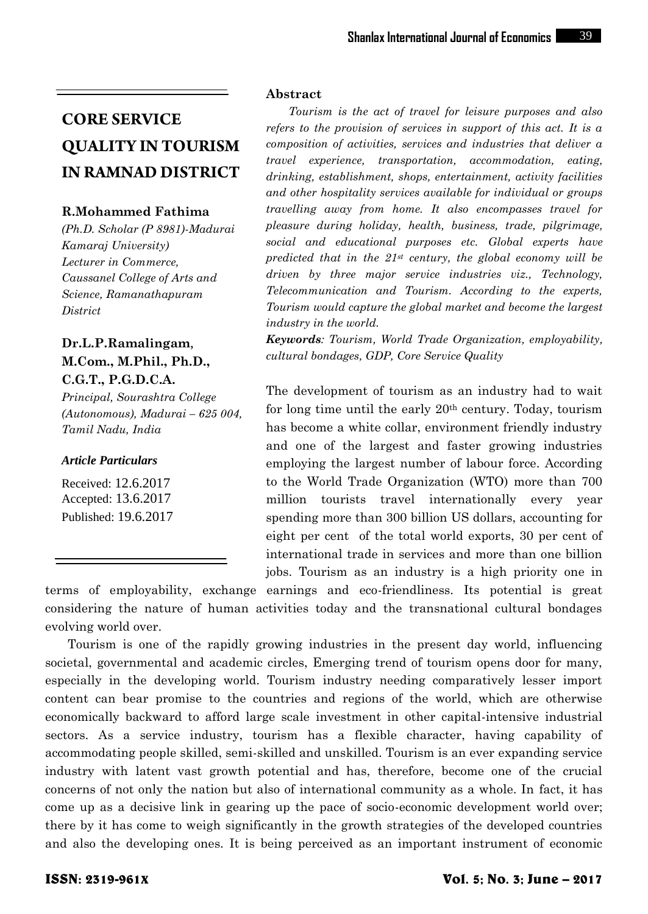#### **R.Mohammed Fathima**

*(Ph.D. Scholar (P 8981)-Madurai Kamaraj University) Lecturer in Commerce, Caussanel College of Arts and Science, Ramanathapuram District*

# **Dr.L.P.Ramalingam**, **M.Com., M.Phil., Ph.D., C.G.T., P.G.D.C.A.**

*Principal, Sourashtra College (Autonomous), Madurai – 625 004, Tamil Nadu, India*

#### *Article Particulars*

Received: 12.6.2017 Accepted: 13.6.2017 Published: 19.6.2017

#### **Abstract**

*Tourism is the act of travel for leisure purposes and also refers to the provision of services in support of this act. It is a composition of activities, services and industries that deliver a travel experience, transportation, accommodation, eating, drinking, establishment, shops, entertainment, activity facilities and other hospitality services available for individual or groups travelling away from home. It also encompasses travel for pleasure during holiday, health, business, trade, pilgrimage, social and educational purposes etc. Global experts have predicted that in the 21st century, the global economy will be driven by three major service industries viz., Technology, Telecommunication and Tourism. According to the experts, Tourism would capture the global market and become the largest industry in the world.*

*Keywords: Tourism, World Trade Organization, employability, cultural bondages, GDP, Core Service Quality*

The development of tourism as an industry had to wait for long time until the early 20th century. Today, tourism has become a white collar, environment friendly industry and one of the largest and faster growing industries employing the largest number of labour force. According to the World Trade Organization (WTO) more than 700 million tourists travel internationally every year spending more than 300 billion US dollars, accounting for eight per cent of the total world exports, 30 per cent of international trade in services and more than one billion jobs. Tourism as an industry is a high priority one in

terms of employability, exchange earnings and eco-friendliness. Its potential is great considering the nature of human activities today and the transnational cultural bondages evolving world over.

Tourism is one of the rapidly growing industries in the present day world, influencing societal, governmental and academic circles, Emerging trend of tourism opens door for many, especially in the developing world. Tourism industry needing comparatively lesser import content can bear promise to the countries and regions of the world, which are otherwise economically backward to afford large scale investment in other capital-intensive industrial sectors. As a service industry, tourism has a flexible character, having capability of accommodating people skilled, semi-skilled and unskilled. Tourism is an ever expanding service industry with latent vast growth potential and has, therefore, become one of the crucial concerns of not only the nation but also of international community as a whole. In fact, it has come up as a decisive link in gearing up the pace of socio-economic development world over; there by it has come to weigh significantly in the growth strategies of the developed countries and also the developing ones. It is being perceived as an important instrument of economic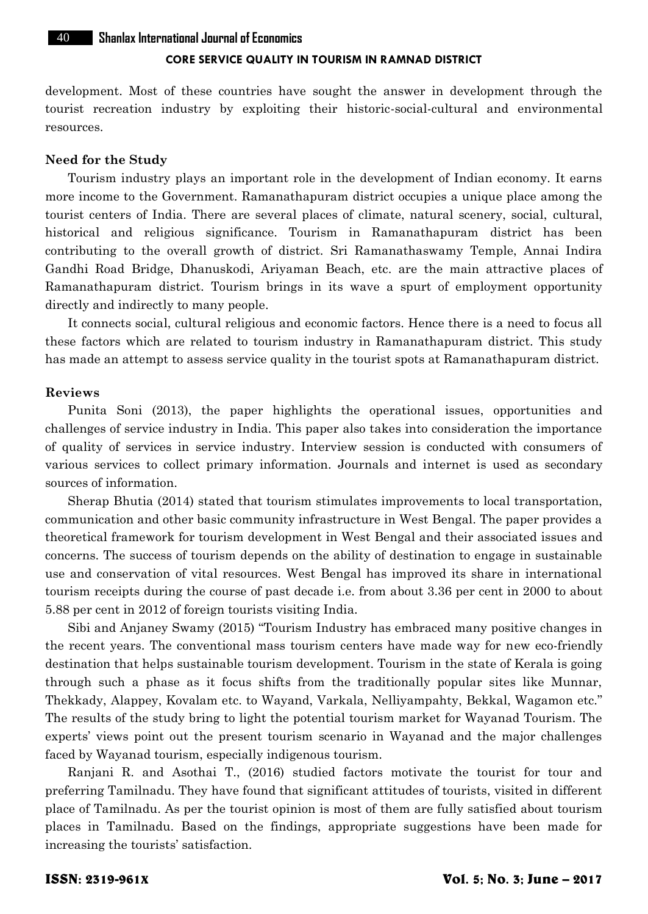40 **Shanlax International Journal of Economics**

#### **CORE SERVICE QUALITY IN TOURISM IN RAMNAD DISTRICT**

development. Most of these countries have sought the answer in development through the tourist recreation industry by exploiting their historic-social-cultural and environmental resources.

#### **Need for the Study**

Tourism industry plays an important role in the development of Indian economy. It earns more income to the Government. Ramanathapuram district occupies a unique place among the tourist centers of India. There are several places of climate, natural scenery, social, cultural, historical and religious significance. Tourism in Ramanathapuram district has been contributing to the overall growth of district. Sri Ramanathaswamy Temple, Annai Indira Gandhi Road Bridge, Dhanuskodi, Ariyaman Beach, etc. are the main attractive places of Ramanathapuram district. Tourism brings in its wave a spurt of employment opportunity directly and indirectly to many people.

It connects social, cultural religious and economic factors. Hence there is a need to focus all these factors which are related to tourism industry in Ramanathapuram district. This study has made an attempt to assess service quality in the tourist spots at Ramanathapuram district.

#### **Reviews**

Punita Soni (2013), the paper highlights the operational issues, opportunities and challenges of service industry in India. This paper also takes into consideration the importance of quality of services in service industry. Interview session is conducted with consumers of various services to collect primary information. Journals and internet is used as secondary sources of information.

Sherap Bhutia (2014) stated that tourism stimulates improvements to local transportation, communication and other basic community infrastructure in West Bengal. The paper provides a theoretical framework for tourism development in West Bengal and their associated issues and concerns. The success of tourism depends on the ability of destination to engage in sustainable use and conservation of vital resources. West Bengal has improved its share in international tourism receipts during the course of past decade i.e. from about 3.36 per cent in 2000 to about 5.88 per cent in 2012 of foreign tourists visiting India.

Sibi and Anjaney Swamy (2015) "Tourism Industry has embraced many positive changes in the recent years. The conventional mass tourism centers have made way for new eco-friendly destination that helps sustainable tourism development. Tourism in the state of Kerala is going through such a phase as it focus shifts from the traditionally popular sites like Munnar, Thekkady, Alappey, Kovalam etc. to Wayand, Varkala, Nelliyampahty, Bekkal, Wagamon etc." The results of the study bring to light the potential tourism market for Wayanad Tourism. The experts' views point out the present tourism scenario in Wayanad and the major challenges faced by Wayanad tourism, especially indigenous tourism.

Ranjani R. and Asothai T., (2016) studied factors motivate the tourist for tour and preferring Tamilnadu. They have found that significant attitudes of tourists, visited in different place of Tamilnadu. As per the tourist opinion is most of them are fully satisfied about tourism places in Tamilnadu. Based on the findings, appropriate suggestions have been made for increasing the tourists' satisfaction.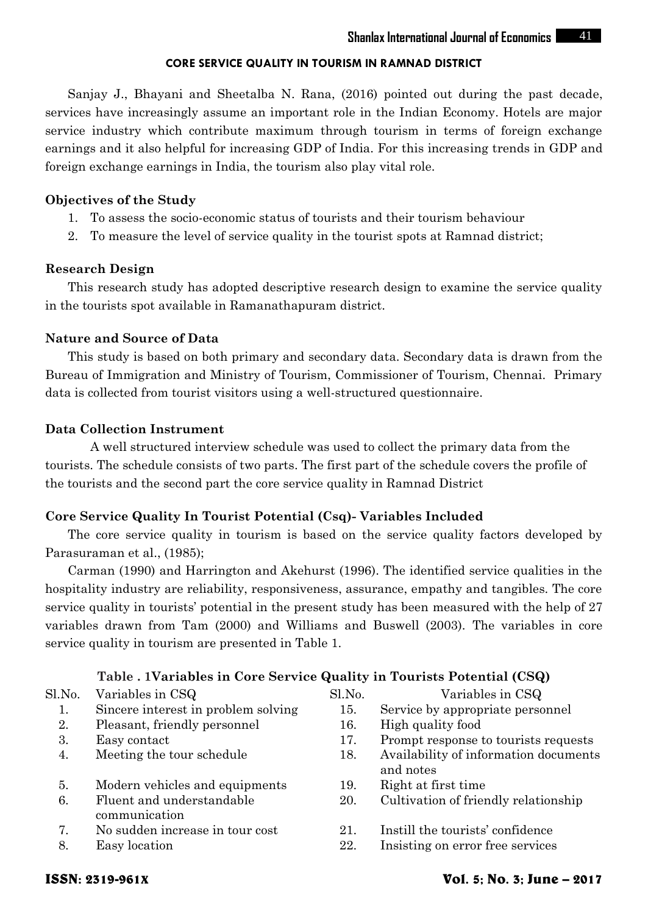Sanjay J., Bhayani and Sheetalba N. Rana, (2016) pointed out during the past decade, services have increasingly assume an important role in the Indian Economy. Hotels are major service industry which contribute maximum through tourism in terms of foreign exchange earnings and it also helpful for increasing GDP of India. For this increasing trends in GDP and foreign exchange earnings in India, the tourism also play vital role.

#### **Objectives of the Study**

- 1. To assess the socio-economic status of tourists and their tourism behaviour
- 2. To measure the level of service quality in the tourist spots at Ramnad district;

#### **Research Design**

This research study has adopted descriptive research design to examine the service quality in the tourists spot available in Ramanathapuram district.

#### **Nature and Source of Data**

This study is based on both primary and secondary data. Secondary data is drawn from the Bureau of Immigration and Ministry of Tourism, Commissioner of Tourism, Chennai. Primary data is collected from tourist visitors using a well-structured questionnaire.

#### **Data Collection Instrument**

A well structured interview schedule was used to collect the primary data from the tourists. The schedule consists of two parts. The first part of the schedule covers the profile of the tourists and the second part the core service quality in Ramnad District

### **Core Service Quality In Tourist Potential (Csq)- Variables Included**

The core service quality in tourism is based on the service quality factors developed by Parasuraman et al., (1985);

Carman (1990) and Harrington and Akehurst (1996). The identified service qualities in the hospitality industry are reliability, responsiveness, assurance, empathy and tangibles. The core service quality in tourists' potential in the present study has been measured with the help of 27 variables drawn from Tam (2000) and Williams and Buswell (2003). The variables in core service quality in tourism are presented in Table 1.

### **Table . 1Variables in Core Service Quality in Tourists Potential (CSQ)**

| Sl.No. | Variables in CSQ                           | Sl.No. | Variables in CSQ                                   |  |
|--------|--------------------------------------------|--------|----------------------------------------------------|--|
| 1.     | Sincere interest in problem solving        | 15.    | Service by appropriate personnel                   |  |
| 2.     | Pleasant, friendly personnel               | 16.    | High quality food                                  |  |
| 3.     | Easy contact                               | 17.    | Prompt response to tourists requests               |  |
| 4.     | Meeting the tour schedule                  | 18.    | Availability of information documents<br>and notes |  |
| 5.     | Modern vehicles and equipments             | 19.    | Right at first time.                               |  |
| 6.     | Fluent and understandable<br>communication | 20.    | Cultivation of friendly relationship               |  |
|        | No sudden increase in tour cost            | 21.    | Instill the tourists' confidence                   |  |
| 8.     | Easy location                              | 22.    | Insisting on error free services                   |  |
|        |                                            |        |                                                    |  |

# ISSN: 2319-961X Vol. 5; No. 3; June – 2017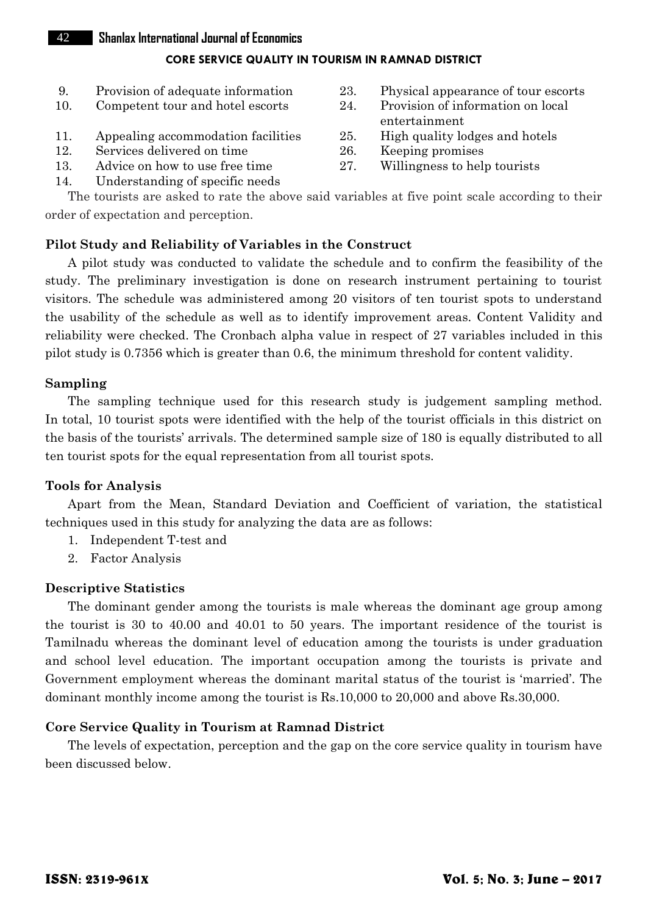#### 42 **Shanlax International Journal of Economics**

#### **CORE SERVICE QUALITY IN TOURISM IN RAMNAD DISTRICT**

- 
- 
- 11. Appealing accommodation facilities  $25$ .
- 12. Services delivered on time 26. Keeping promises
- 13. Advice on how to use free time 27. Willingness to help tourists
- 14. Understanding of specific needs
- 9. Provision of adequate information 23. Physical appearance of tour escorts
- 10. Competent tour and hotel escorts 24. Provision of information on local entertainment<br>High quality lodges and hotels
	-
	-
	-

The tourists are asked to rate the above said variables at five point scale according to their order of expectation and perception.

### **Pilot Study and Reliability of Variables in the Construct**

A pilot study was conducted to validate the schedule and to confirm the feasibility of the study. The preliminary investigation is done on research instrument pertaining to tourist visitors. The schedule was administered among 20 visitors of ten tourist spots to understand the usability of the schedule as well as to identify improvement areas. Content Validity and reliability were checked. The Cronbach alpha value in respect of 27 variables included in this pilot study is 0.7356 which is greater than 0.6, the minimum threshold for content validity.

#### **Sampling**

The sampling technique used for this research study is judgement sampling method. In total, 10 tourist spots were identified with the help of the tourist officials in this district on the basis of the tourists' arrivals. The determined sample size of 180 is equally distributed to all ten tourist spots for the equal representation from all tourist spots.

### **Tools for Analysis**

Apart from the Mean, Standard Deviation and Coefficient of variation, the statistical techniques used in this study for analyzing the data are as follows:

- 1. Independent T-test and
- 2. Factor Analysis

### **Descriptive Statistics**

The dominant gender among the tourists is male whereas the dominant age group among the tourist is 30 to 40.00 and 40.01 to 50 years. The important residence of the tourist is Tamilnadu whereas the dominant level of education among the tourists is under graduation and school level education. The important occupation among the tourists is private and Government employment whereas the dominant marital status of the tourist is 'married'. The dominant monthly income among the tourist is Rs.10,000 to 20,000 and above Rs.30,000.

### **Core Service Quality in Tourism at Ramnad District**

The levels of expectation, perception and the gap on the core service quality in tourism have been discussed below.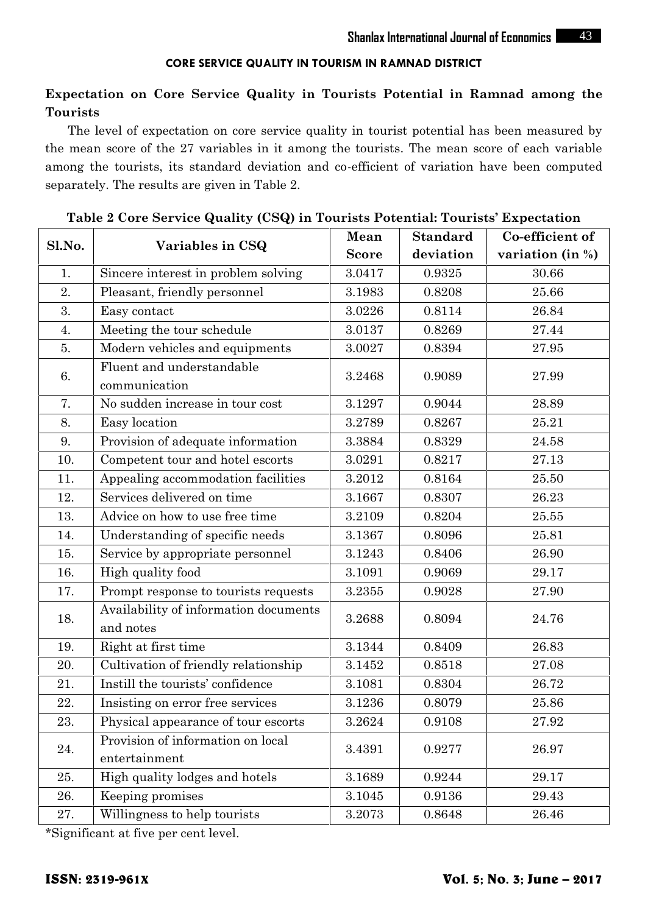# **Expectation on Core Service Quality in Tourists Potential in Ramnad among the Tourists**

The level of expectation on core service quality in tourist potential has been measured by the mean score of the 27 variables in it among the tourists. The mean score of each variable among the tourists, its standard deviation and co-efficient of variation have been computed separately. The results are given in Table 2.

| Sl.No. | Variables in CSQ                                   | Mean         | <b>Standard</b> | Co-efficient of  |
|--------|----------------------------------------------------|--------------|-----------------|------------------|
|        |                                                    | <b>Score</b> | deviation       | variation (in %) |
| 1.     | Sincere interest in problem solving                | 3.0417       | 0.9325          | 30.66            |
| 2.     | Pleasant, friendly personnel                       | 3.1983       | 0.8208          | 25.66            |
| 3.     | Easy contact                                       | 3.0226       | 0.8114          | 26.84            |
| 4.     | Meeting the tour schedule                          | 3.0137       | 0.8269          | 27.44            |
| 5.     | Modern vehicles and equipments                     | 3.0027       | 0.8394          | 27.95            |
| 6.     | Fluent and understandable<br>communication         | 3.2468       | 0.9089          | 27.99            |
| 7.     | No sudden increase in tour cost                    | 3.1297       | 0.9044          | 28.89            |
| 8.     | Easy location                                      | 3.2789       | 0.8267          | 25.21            |
| 9.     | Provision of adequate information                  | 3.3884       | 0.8329          | 24.58            |
| 10.    | Competent tour and hotel escorts                   | 3.0291       | 0.8217          | 27.13            |
| 11.    | Appealing accommodation facilities                 | 3.2012       | 0.8164          | 25.50            |
| 12.    | Services delivered on time                         | 3.1667       | 0.8307          | 26.23            |
| 13.    | Advice on how to use free time                     | 3.2109       | 0.8204          | 25.55            |
| 14.    | Understanding of specific needs                    | 3.1367       | 0.8096          | 25.81            |
| 15.    | Service by appropriate personnel                   | 3.1243       | 0.8406          | 26.90            |
| 16.    | High quality food                                  | 3.1091       | 0.9069          | 29.17            |
| 17.    | Prompt response to tourists requests               | 3.2355       | 0.9028          | 27.90            |
| 18.    | Availability of information documents<br>and notes | 3.2688       | 0.8094          | 24.76            |
| 19.    | Right at first time                                | 3.1344       | 0.8409          | 26.83            |
| 20.    | Cultivation of friendly relationship               | 3.1452       | 0.8518          | 27.08            |
| 21.    | Instill the tourists' confidence                   | 3.1081       | 0.8304          | 26.72            |
| 22.    | Insisting on error free services                   | 3.1236       | 0.8079          | 25.86            |
| 23.    | Physical appearance of tour escorts                | 3.2624       | 0.9108          | 27.92            |
| 24.    | Provision of information on local<br>entertainment | 3.4391       | 0.9277          | 26.97            |
| 25.    | High quality lodges and hotels                     | 3.1689       | ${0.9244}$      | 29.17            |
| 26.    | Keeping promises                                   | 3.1045       | 0.9136          | 29.43            |
| 27.    | Willingness to help tourists                       | 3.2073       | 0.8648          | 26.46            |

**Table 2 Core Service Quality (CSQ) in Tourists Potential: Tourists' Expectation**

\*Significant at five per cent level.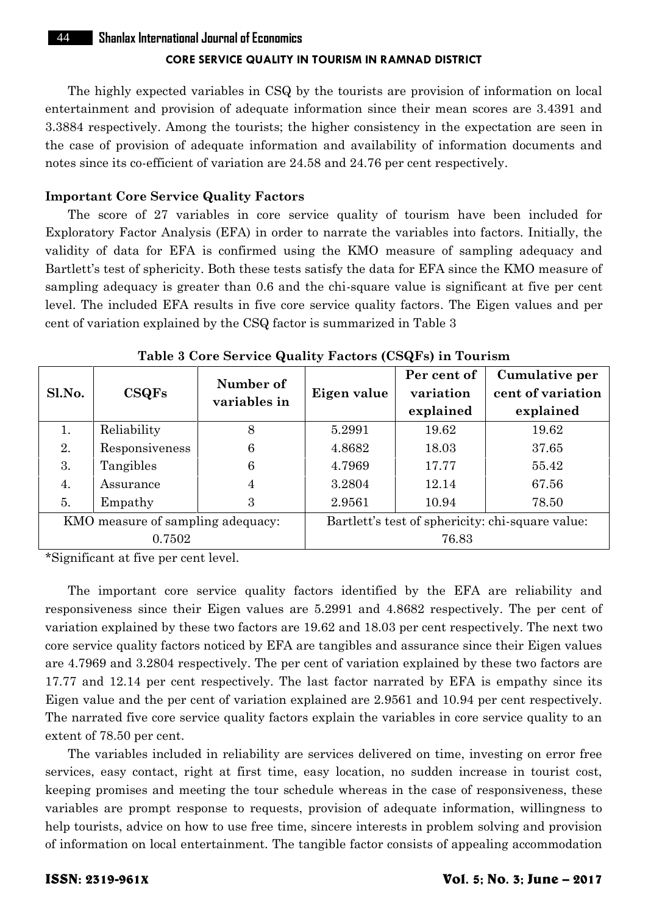The highly expected variables in CSQ by the tourists are provision of information on local entertainment and provision of adequate information since their mean scores are 3.4391 and 3.3884 respectively. Among the tourists; the higher consistency in the expectation are seen in the case of provision of adequate information and availability of information documents and notes since its co-efficient of variation are 24.58 and 24.76 per cent respectively.

#### **Important Core Service Quality Factors**

The score of 27 variables in core service quality of tourism have been included for Exploratory Factor Analysis (EFA) in order to narrate the variables into factors. Initially, the validity of data for EFA is confirmed using the KMO measure of sampling adequacy and Bartlett's test of sphericity. Both these tests satisfy the data for EFA since the KMO measure of sampling adequacy is greater than 0.6 and the chi-square value is significant at five per cent level. The included EFA results in five core service quality factors. The Eigen values and per cent of variation explained by the CSQ factor is summarized in Table 3

| Sl.No.                            | CSQFs          | Number of<br>variables in                        | Eigen value | Per cent of<br>variation<br>explained | Cumulative per<br>cent of variation<br>explained |
|-----------------------------------|----------------|--------------------------------------------------|-------------|---------------------------------------|--------------------------------------------------|
| 1.                                | Reliability    | 8                                                | 5.2991      | 19.62                                 | 19.62                                            |
| 2.                                | Responsiveness | 6                                                | 4.8682      | 18.03                                 | 37.65                                            |
| 3.                                | Tangibles      | 6                                                | 4.7969      | 17.77                                 | 55.42                                            |
| 4.                                | Assurance      | 4                                                | 3.2804      | 12.14                                 | 67.56                                            |
| 5.                                | Empathy        | 3                                                | 2.9561      | 10.94                                 | 78.50                                            |
| KMO measure of sampling adequacy: |                | Bartlett's test of sphericity: chi-square value: |             |                                       |                                                  |
| 0.7502                            |                |                                                  | 76.83       |                                       |                                                  |

**Table 3 Core Service Quality Factors (CSQFs) in Tourism**

\*Significant at five per cent level.

The important core service quality factors identified by the EFA are reliability and responsiveness since their Eigen values are 5.2991 and 4.8682 respectively. The per cent of variation explained by these two factors are 19.62 and 18.03 per cent respectively. The next two core service quality factors noticed by EFA are tangibles and assurance since their Eigen values are 4.7969 and 3.2804 respectively. The per cent of variation explained by these two factors are 17.77 and 12.14 per cent respectively. The last factor narrated by EFA is empathy since its Eigen value and the per cent of variation explained are 2.9561 and 10.94 per cent respectively. The narrated five core service quality factors explain the variables in core service quality to an extent of 78.50 per cent.

The variables included in reliability are services delivered on time, investing on error free services, easy contact, right at first time, easy location, no sudden increase in tourist cost, keeping promises and meeting the tour schedule whereas in the case of responsiveness, these variables are prompt response to requests, provision of adequate information, willingness to help tourists, advice on how to use free time, sincere interests in problem solving and provision of information on local entertainment. The tangible factor consists of appealing accommodation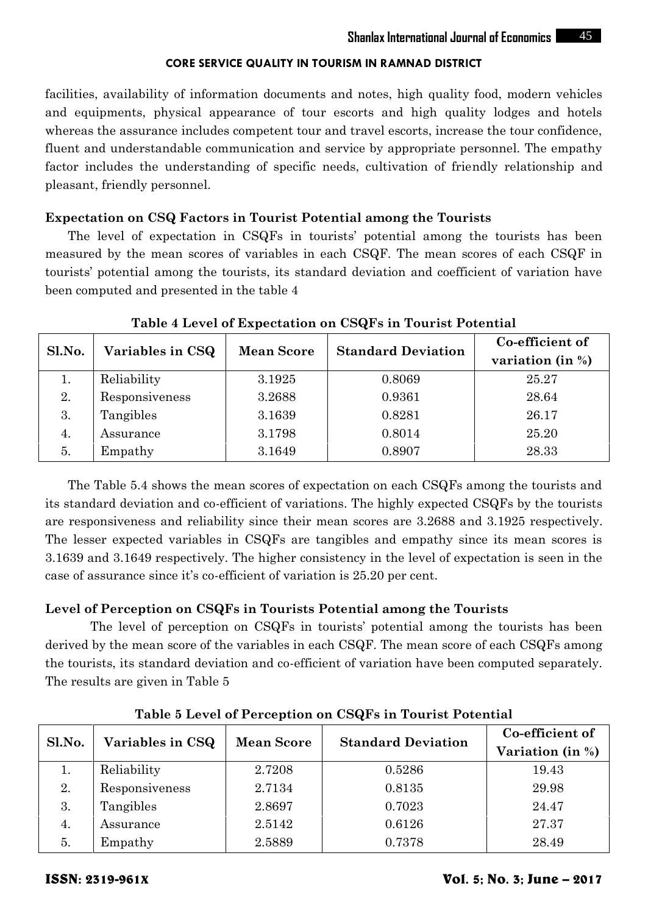facilities, availability of information documents and notes, high quality food, modern vehicles and equipments, physical appearance of tour escorts and high quality lodges and hotels whereas the assurance includes competent tour and travel escorts, increase the tour confidence, fluent and understandable communication and service by appropriate personnel. The empathy factor includes the understanding of specific needs, cultivation of friendly relationship and pleasant, friendly personnel.

#### **Expectation on CSQ Factors in Tourist Potential among the Tourists**

The level of expectation in CSQFs in tourists' potential among the tourists has been measured by the mean scores of variables in each CSQF. The mean scores of each CSQF in tourists' potential among the tourists, its standard deviation and coefficient of variation have been computed and presented in the table 4

|        | Variables in CSQ | <b>Mean Score</b> | <b>Standard Deviation</b> | Co-efficient of      |  |
|--------|------------------|-------------------|---------------------------|----------------------|--|
| Sl.No. |                  |                   |                           | variation (in $\%$ ) |  |
|        | Reliability      | 3.1925            | 0.8069                    | 25.27                |  |
| 2.     | Responsiveness   | 3.2688            | 0.9361                    | 28.64                |  |
| 3.     | Tangibles        | 3.1639            | 0.8281                    | 26.17                |  |
| 4.     | Assurance        | 3.1798            | 0.8014                    | 25.20                |  |
| 5.     | Empathy          | 3.1649            | 0.8907                    | 28.33                |  |

**Table 4 Level of Expectation on CSQFs in Tourist Potential**

The Table 5.4 shows the mean scores of expectation on each CSQFs among the tourists and its standard deviation and co-efficient of variations. The highly expected CSQFs by the tourists are responsiveness and reliability since their mean scores are 3.2688 and 3.1925 respectively. The lesser expected variables in CSQFs are tangibles and empathy since its mean scores is 3.1639 and 3.1649 respectively. The higher consistency in the level of expectation is seen in the case of assurance since it's co-efficient of variation is 25.20 per cent.

### **Level of Perception on CSQFs in Tourists Potential among the Tourists**

The level of perception on CSQFs in tourists' potential among the tourists has been derived by the mean score of the variables in each CSQF. The mean score of each CSQFs among the tourists, its standard deviation and co-efficient of variation have been computed separately. The results are given in Table 5

| Sl.No. | Variables in CSQ | <b>Mean Score</b> | <b>Standard Deviation</b> | Co-efficient of<br>Variation (in %) |
|--------|------------------|-------------------|---------------------------|-------------------------------------|
| 工.     | Reliability      | 2.7208            | 0.5286                    | 19.43                               |
| 2.     | Responsiveness   | 2.7134            | 0.8135                    | 29.98                               |
| 3.     | Tangibles        | 2.8697            | 0.7023                    | 24.47                               |
| 4.     | Assurance        | 2.5142            | 0.6126                    | 27.37                               |
| 5.     | Empathy          | 2.5889            | 0.7378                    | 28.49                               |

**Table 5 Level of Perception on CSQFs in Tourist Potential**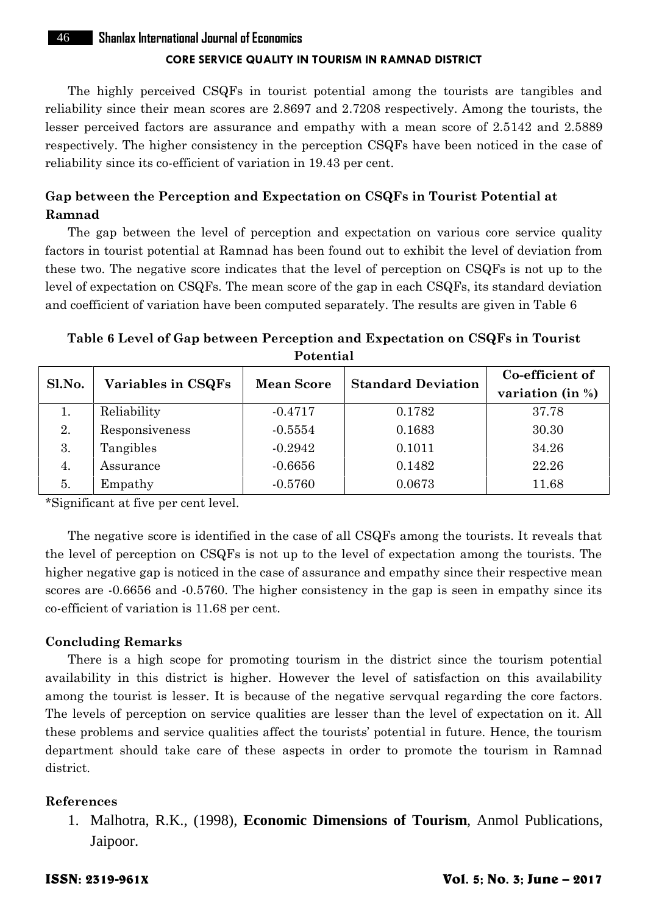The highly perceived CSQFs in tourist potential among the tourists are tangibles and reliability since their mean scores are 2.8697 and 2.7208 respectively. Among the tourists, the lesser perceived factors are assurance and empathy with a mean score of 2.5142 and 2.5889 respectively. The higher consistency in the perception CSQFs have been noticed in the case of reliability since its co-efficient of variation in 19.43 per cent.

# **Gap between the Perception and Expectation on CSQFs in Tourist Potential at Ramnad**

The gap between the level of perception and expectation on various core service quality factors in tourist potential at Ramnad has been found out to exhibit the level of deviation from these two. The negative score indicates that the level of perception on CSQFs is not up to the level of expectation on CSQFs. The mean score of the gap in each CSQFs, its standard deviation and coefficient of variation have been computed separately. The results are given in Table 6

# **Table 6 Level of Gap between Perception and Expectation on CSQFs in Tourist Potential**

| Sl.No. | Variables in CSQFs | <b>Mean Score</b> | <b>Standard Deviation</b> | Co-efficient of<br>variation (in $\%$ ) |
|--------|--------------------|-------------------|---------------------------|-----------------------------------------|
| 1.     | Reliability        | $-0.4717$         | 0.1782                    | 37.78                                   |
| 2.     | Responsiveness     | $-0.5554$         | 0.1683                    | 30.30                                   |
| 3.     | Tangibles          | $-0.2942$         | 0.1011                    | 34.26                                   |
| 4.     | Assurance          | $-0.6656$         | 0.1482                    | 22.26                                   |
| 5.     | Empathy            | $-0.5760$         | 0.0673                    | 11.68                                   |

\*Significant at five per cent level.

The negative score is identified in the case of all CSQFs among the tourists. It reveals that the level of perception on CSQFs is not up to the level of expectation among the tourists. The higher negative gap is noticed in the case of assurance and empathy since their respective mean scores are  $-0.6656$  and  $-0.5760$ . The higher consistency in the gap is seen in empathy since its co-efficient of variation is 11.68 per cent.

#### **Concluding Remarks**

There is a high scope for promoting tourism in the district since the tourism potential availability in this district is higher. However the level of satisfaction on this availability among the tourist is lesser. It is because of the negative servqual regarding the core factors. The levels of perception on service qualities are lesser than the level of expectation on it. All these problems and service qualities affect the tourists' potential in future. Hence, the tourism department should take care of these aspects in order to promote the tourism in Ramnad district.

#### **References**

1. Malhotra, R.K., (1998), **Economic Dimensions of Tourism**, Anmol Publications, Jaipoor.